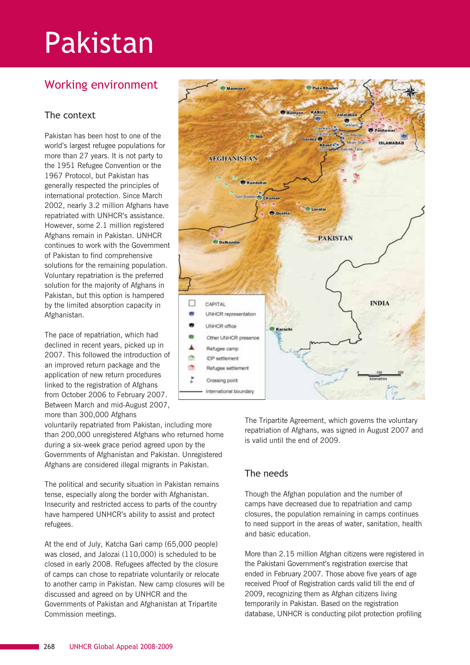# Pakistan

# Working environment

## The context

Pakistan has been host to one of the world's largest refugee populations for more than 27 years. It is not party to the 1951 Refugee Convention or the 1967 Protocol, but Pakistan has generally respected the principles of international protection. Since March 2002, nearly 3.2 million Afghans have repatriated with UNHCR's assistance. However, some 2.1 million registered Afghans remain in Pakistan. UNHCR continues to work with the Government of Pakistan to find comprehensive solutions for the remaining population. Voluntary repatriation is the preferred solution for the majority of Afghans in Pakistan, but this option is hampered by the limited absorption capacity in Afghanistan.

The pace of repatriation, which had declined in recent years, picked up in 2007. This followed the introduction of an improved return package and the application of new return procedures linked to the registration of Afghans from October 2006 to February 2007. Between March and mid-August 2007, more than 300,000 Afghans

voluntarily repatriated from Pakistan, including more than 200,000 unregistered Afghans who returned home during a six-week grace period agreed upon by the Governments of Afghanistan and Pakistan. Unregistered Afghans are considered illegal migrants in Pakistan.

The political and security situation in Pakistan remains tense, especially along the border with Afghanistan. Insecurity and restricted access to parts of the country have hampered UNHCR's ability to assist and protect refugees.

At the end of July, Katcha Gari camp (65,000 people) was closed, and Jalozai (110,000) is scheduled to be closed in early 2008. Refugees affected by the closure of camps can chose to repatriate voluntarily or relocate to another camp in Pakistan. New camp closures will be discussed and agreed on by UNHCR and the Governments of Pakistan and Afghanistan at Tripartite Commission meetings.



The Tripartite Agreement, which governs the voluntary repatriation of Afghans, was signed in August 2007 and is valid until the end of 2009.

#### The needs

Though the Afghan population and the number of camps have decreased due to repatriation and camp closures, the population remaining in camps continues to need support in the areas of water, sanitation, health and basic education.

More than 2.15 million Afghan citizens were registered in the Pakistani Government's registration exercise that ended in February 2007. Those above five years of age received Proof of Registration cards valid till the end of 2009, recognizing them as Afghan citizens living temporarily in Pakistan. Based on the registration database, UNHCR is conducting pilot protection profiling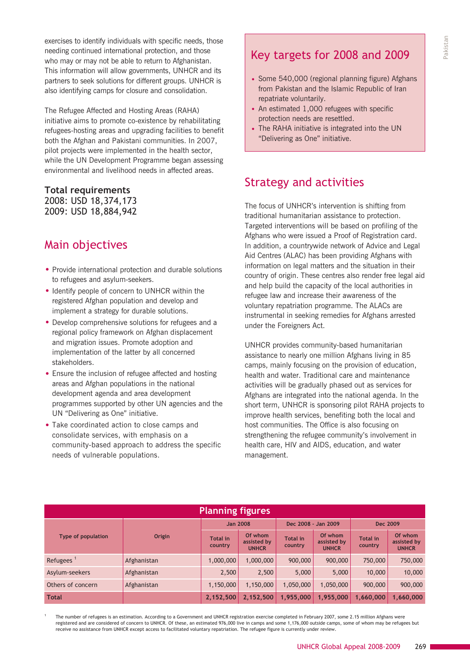exercises to identify individuals with specific needs, those needing continued international protection, and those who may or may not be able to return to Afghanistan. This information will allow governments, UNHCR and its partners to seek solutions for different groups. UNHCR is also identifying camps for closure and consolidation.

The Refugee Affected and Hosting Areas (RAHA) initiative aims to promote co-existence by rehabilitating refugees-hosting areas and upgrading facilities to benefit both the Afghan and Pakistani communities. In 2007, pilot projects were implemented in the health sector, while the UN Development Programme began assessing environmental and livelihood needs in affected areas.

#### **Total requirements** 2008: USD 18,374,173

2009: USD 18,884,942

# Main objectives

- Provide international protection and durable solutions to refugees and asylum-seekers.
- Identify people of concern to UNHCR within the registered Afghan population and develop and implement a strategy for durable solutions.
- Develop comprehensive solutions for refugees and a regional policy framework on Afghan displacement and migration issues. Promote adoption and implementation of the latter by all concerned stakeholders.
- Ensure the inclusion of refugee affected and hosting areas and Afghan populations in the national development agenda and area development programmes supported by other UN agencies and the UN "Delivering as One" initiative.
- Take coordinated action to close camps and consolidate services, with emphasis on a community-based approach to address the specific needs of vulnerable populations.

# Key targets for 2008 and 2009

- Some 540,000 (regional planning figure) Afghans from Pakistan and the Islamic Republic of Iran repatriate voluntarily.
- An estimated 1,000 refugees with specific protection needs are resettled.
- The RAHA initiative is integrated into the UN "Delivering as One" initiative.

## Strategy and activities

The focus of UNHCR's intervention is shifting from traditional humanitarian assistance to protection. Targeted interventions will be based on profiling of the Afghans who were issued a Proof of Registration card. In addition, a countrywide network of Advice and Legal Aid Centres (ALAC) has been providing Afghans with information on legal matters and the situation in their country of origin. These centres also render free legal aid and help build the capacity of the local authorities in refugee law and increase their awareness of the voluntary repatriation programme. The ALACs are instrumental in seeking remedies for Afghans arrested under the Foreigners Act.

UNHCR provides community-based humanitarian assistance to nearly one million Afghans living in 85 camps, mainly focusing on the provision of education, health and water. Traditional care and maintenance activities will be gradually phased out as services for Afghans are integrated into the national agenda. In the short term, UNHCR is sponsoring pilot RAHA projects to improve health services, benefiting both the local and host communities. The Office is also focusing on strengthening the refugee community's involvement in health care, HIV and AIDS, education, and water management.

| <b>Planning figures</b>   |               |                            |                                        |                            |                                        |                            |                                        |  |  |  |
|---------------------------|---------------|----------------------------|----------------------------------------|----------------------------|----------------------------------------|----------------------------|----------------------------------------|--|--|--|
| <b>Type of population</b> | <b>Origin</b> | <b>Jan 2008</b>            |                                        | Dec 2008 - Jan 2009        |                                        | Dec 2009                   |                                        |  |  |  |
|                           |               | <b>Total</b> in<br>country | Of whom<br>assisted by<br><b>UNHCR</b> | <b>Total in</b><br>country | Of whom<br>assisted by<br><b>UNHCR</b> | <b>Total in</b><br>country | Of whom<br>assisted by<br><b>UNHCR</b> |  |  |  |
| Refugees $1$              | Afghanistan   | 1,000,000                  | 1,000,000                              | 900,000                    | 900,000                                | 750,000                    | 750,000                                |  |  |  |
| Asylum-seekers            | Afghanistan   | 2,500                      | 2,500                                  | 5,000                      | 5,000                                  | 10,000                     | 10,000                                 |  |  |  |
| Others of concern         | Afghanistan   | 1,150,000                  | 1,150,000                              | 1,050,000                  | 1,050,000                              | 900,000                    | 900,000                                |  |  |  |
| <b>Total</b>              |               | 2,152,500                  | 2,152,500                              | 1,955,000                  | 1,955,000                              | 1,660,000                  | 1,660,000                              |  |  |  |

<sup>1</sup> The number of refugees is an estimation. According to a Government and UNHCR registration exercise completed in February 2007, some 2.15 million Afghans were registered and are considered of concern to UNHCR. Of these, an estimated 976,000 live in camps and some 1,176,000 outside camps, some of whom may be refugees but receive no assistance from UNHCR except access to facilitated voluntary repatriation. The refugee figure is currently under review.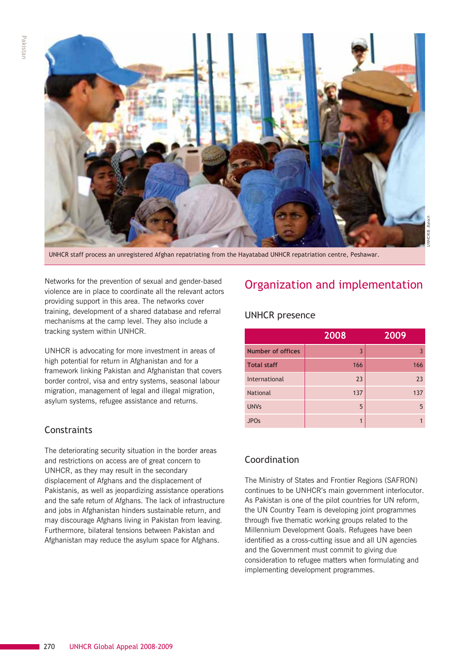

UNHCR staff process an unregistered Afghan repatriating from the Hayatabad UNHCR repatriation centre, Peshawar.

Networks for the prevention of sexual and gender-based violence are in place to coordinate all the relevant actors providing support in this area. The networks cover training, development of a shared database and referral mechanisms at the camp level. They also include a tracking system within UNHCR.

UNHCR is advocating for more investment in areas of high potential for return in Afghanistan and for a framework linking Pakistan and Afghanistan that covers border control, visa and entry systems, seasonal labour migration, management of legal and illegal migration, asylum systems, refugee assistance and returns.

## **Constraints**

The deteriorating security situation in the border areas and restrictions on access are of great concern to UNHCR, as they may result in the secondary displacement of Afghans and the displacement of Pakistanis, as well as jeopardizing assistance operations and the safe return of Afghans. The lack of infrastructure and jobs in Afghanistan hinders sustainable return, and may discourage Afghans living in Pakistan from leaving. Furthermore, bilateral tensions between Pakistan and Afghanistan may reduce the asylum space for Afghans.

# Organization and implementation

#### UNHCR presence

|                          | 2008           | 2009 |  |
|--------------------------|----------------|------|--|
| <b>Number of offices</b> | $\overline{3}$ |      |  |
| <b>Total staff</b>       | 166            | 166  |  |
| International            | 23             | 23   |  |
| <b>National</b>          | 137            | 137  |  |
| <b>UNVs</b>              | 5              | 5    |  |
| <b>JPOs</b>              | 1              |      |  |

## Coordination

The Ministry of States and Frontier Regions (SAFRON) continues to be UNHCR's main government interlocutor. As Pakistan is one of the pilot countries for UN reform, the UN Country Team is developing joint programmes through five thematic working groups related to the Millennium Development Goals. Refugees have been identified as a cross-cutting issue and all UN agencies and the Government must commit to giving due consideration to refugee matters when formulating and implementing development programmes.